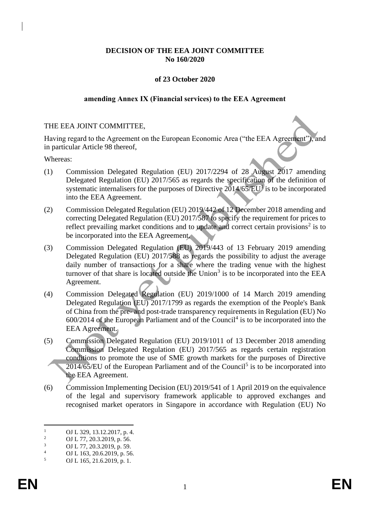## **DECISION OF THE EEA JOINT COMMITTEE No 160/2020**

#### **of 23 October 2020**

#### **amending Annex IX (Financial services) to the EEA Agreement**

#### THE EEA JOINT COMMITTEE,

Having regard to the Agreement on the European Economic Area ("the EEA Agreement"), and in particular Article 98 thereof,

Whereas:

- (1) Commission Delegated Regulation (EU) 2017/2294 of 28 August 2017 amending Delegated Regulation (EU) 2017/565 as regards the specification of the definition of systematic internalisers for the purposes of Directive  $2014/65/EU$  is to be incorporated into the EEA Agreement.
- (2) Commission Delegated Regulation (EU) 2019/442 of 12 December 2018 amending and correcting Delegated Regulation (EU) 2017/587 to specify the requirement for prices to reflect prevailing market conditions and to update and correct certain provisions<sup>2</sup> is to be incorporated into the EEA Agreement.
- (3) Commission Delegated Regulation (EU) 2019/443 of 13 February 2019 amending Delegated Regulation (EU) 2017/588 as regards the possibility to adjust the average daily number of transactions for a share where the trading venue with the highest turnover of that share is located outside the  $Union<sup>3</sup>$  is to be incorporated into the EEA Agreement.
- (4) Commission Delegated Regulation (EU) 2019/1000 of 14 March 2019 amending Delegated Regulation (EU) 2017/1799 as regards the exemption of the People's Bank of China from the pre- and post-trade transparency requirements in Regulation (EU) No  $600/2014$  of the European Parliament and of the Council<sup>4</sup> is to be incorporated into the EEA Agreement.
- (5) Commission Delegated Regulation (EU) 2019/1011 of 13 December 2018 amending Commission Delegated Regulation (EU) 2017/565 as regards certain registration conditions to promote the use of SME growth markets for the purposes of Directive  $2014/65/EU$  of the European Parliament and of the Council<sup>5</sup> is to be incorporated into the EEA Agreement.
- (6) Commission Implementing Decision (EU) 2019/541 of 1 April 2019 on the equivalence of the legal and supervisory framework applicable to approved exchanges and recognised market operators in Singapore in accordance with Regulation (EU) No

<sup>&</sup>lt;sup>1</sup> OJ L 329, 13.12.2017, p. 4.<br><sup>2</sup> OJ L 77, 20, 2, 2010, p. 56

<sup>&</sup>lt;sup>2</sup> OJ L 77, 20.3.2019, p. 56.

 $\frac{3}{4}$  OJ L 77, 20.3.2019, p. 59.

 $^{4}$  OJ L 163, 20.6.2019, p. 56.<br>5 OJ L 165, 21.6.2019, p. 1

<sup>5</sup> OJ L 165, 21.6.2019, p. 1.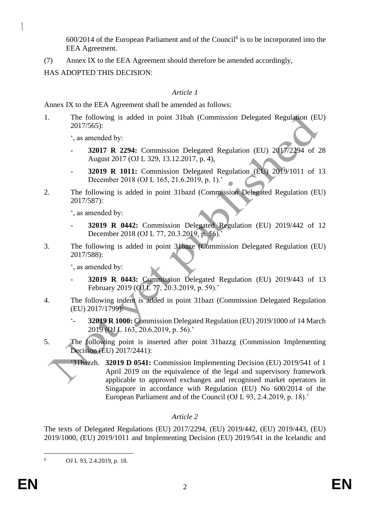$600/2014$  of the European Parliament and of the Council<sup>6</sup> is to be incorporated into the EEA Agreement.

(7) Annex IX to the EEA Agreement should therefore be amended accordingly,

HAS ADOPTED THIS DECISION:

# *Article 1*

Annex IX to the EEA Agreement shall be amended as follows:

1. The following is added in point 31bah (Commission Delegated Regulation (EU) 2017/565):

', as amended by:

- **32017 R 2294:** Commission Delegated Regulation (EU) 2017/2294 of 28 August 2017 (OJ L 329, 13.12.2017, p. 4),
- **32019 R 1011:** Commission Delegated Regulation (EU) 2019/1011 of 13 December 2018 (OJ L 165, 21.6.2019, p. 1).'
- 2. The following is added in point 31bazd (Commission Delegated Regulation (EU) 2017/587):

', as amended by:

- **32019 R 0442:** Commission Delegated Regulation (EU) 2019/442 of 12 December 2018 (OJ L 77, 20.3.2019, p. 56).'
- 3. The following is added in point 31baze (Commission Delegated Regulation (EU) 2017/588):

', as amended by:

- **32019 R 0443:** Commission Delegated Regulation (EU) 2019/443 of 13 February 2019 (OJL 77, 20.3.2019, p. 59).'
- 4. The following indent is added in point 31bazt (Commission Delegated Regulation (EU) 2017/1799):
	- '- **32019 R 1000:** Commission Delegated Regulation (EU) 2019/1000 of 14 March 2019 (OJ L 163, 20.6.2019, p. 56).'
- 5. The following point is inserted after point 31bazzg (Commission Implementing Decision (EU) 2017/2441):
	- '31bazzh. **32019 D 0541:** Commission Implementing Decision (EU) 2019/541 of 1 April 2019 on the equivalence of the legal and supervisory framework applicable to approved exchanges and recognised market operators in Singapore in accordance with Regulation (EU) No 600/2014 of the European Parliament and of the Council (OJ L 93, 2.4.2019, p. 18).'

# *Article 2*

The texts of Delegated Regulations (EU) 2017/2294, (EU) 2019/442, (EU) 2019/443, (EU) 2019/1000, (EU) 2019/1011 and Implementing Decision (EU) 2019/541 in the Icelandic and

<sup>6</sup> OJ L 93, 2.4.2019, p. 18.